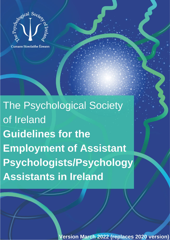

Cumann Síceolaithe Éireann

The Psychological Society of Ireland **Guidelines for the Employment of Assistant** Psychologists/Psychology **Assistants in Ireland** 

Updated April 2020 to replace 2014 version

Version March 2022 (replaces 2020 version)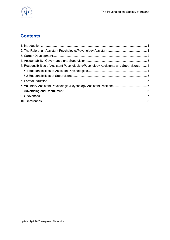

# **Contents**

| 5. Responsibilities of Assistant Psychologists/Psychology Assistants and Supervisors 4 |  |
|----------------------------------------------------------------------------------------|--|
|                                                                                        |  |
|                                                                                        |  |
|                                                                                        |  |
|                                                                                        |  |
|                                                                                        |  |
|                                                                                        |  |
|                                                                                        |  |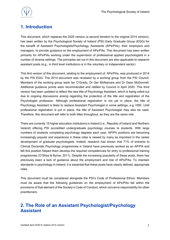

# <span id="page-2-0"></span>**1. Introduction**

This document, which replaces the 2020 version (a second iteration to the original 2014 version), has been written by the Psychological Society of Ireland (PSI) Early Graduate Group (EGG) for the benefit of Assistant Psychologists/Psychology Assistants (APs/PAs), their employers and managers, to provide guidance on the employment of APs/PAs. This document has been written primarily for APs/PAs working under the supervision of professional applied psychologists in a number of diverse settings. The principles set out in this document are also applicable to research assistant posts (e.g., in third level institutions or in the voluntary or independent sector).

This first version of this document, relating to the employment of APs/PAs, was produced in 2014 by the PSI EGG. The 2014 document was reviewed by a working group from the PSI Council. Members of the working group were Ian O'Grady, Dr Ger McNamara and Dr Dean McDonnell. Additional guidance points were recommended and ratified by Council in April 2020. This third version has been updated to reflect the new title of Psychology Assistant, which is being rolled out due to ongoing discussions arising regarding the protection of the title and registration of the Psychologist profession. Although professional registration is not yet in place, the title of Psychology Assistant is likely to replace Assistant Psychologist in some settings, e.g. HSE. Until professional registration is put in place, the title of Assistant Psychologist may also be used. Therefore, this document will refer to both titles throughout, as they are the same role.

There are currently 15 higher education institutions in Ireland (i.e., Republic of Ireland and Northern Ireland) offering PSI accredited undergraduate psychology courses to students. With large numbers of students completing psychology degrees each year, AP/PA positions are becoming increasingly popular and experience in these roles is viewed by many as important in the career development of graduate psychologists. Indeed, research has shown that 71% of entrants to Clinical Doctorate Psychology programmes in Ireland have previously worked as an AP/PA and felt this position helped them develop the required competencies for entry to professional training programmes (O'Shea & Byrne, 2011). Despite the increasing popularity of these posts, there has previously been a lack of guidance about the employment and role of APs/PAs. To maintain standards in psychology in Ireland, it is essential that these posts have clearly defined, appropriate roles.

This document must be considered alongside the PSI's Code of Professional Ethics. Members must be aware that the following guidelines on the employment of APs/PAs fall within the provisions of that element of the Society's Code of Conduct, which concerns responsibility for other practitioners.

### <span id="page-2-1"></span>**2. The Role of an Assistant Psychologist/Psychology Assistant**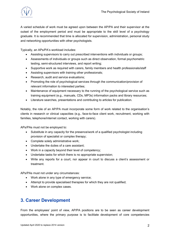

A varied schedule of work must be agreed upon between the AP/PA and their supervisor at the outset of the employment period and must be appropriate to the skill level of a psychology graduate. It is recommended that time is allocated for supervision, administration, personal study and networking opportunities with other psychologists.

Typically, an APs/PA's workload includes:

- Assisting supervisors to carry out prescribed interventions with individuals or groups;
- Assessments of individuals or groups such as direct observation, formal psychometric testing, semi-structured interviews, and report writing;
- Supportive work as required with carers, family members and health professionals/staff
- Assisting supervisors with training other professionals;
- Research, audit and service evaluations;
- Promoting the role of psychological services through the communication/provision of relevant information to interested parties;
- Maintenance of equipment necessary to the running of the psychological service such as training equipment (e.g., manuals, CDs, MP3s) information packs and library resources;
- Literature searches, presentations and contributing to articles for publication.

Notably, the role of an AP/PA must incorporate some form of work related to the organisation's clients in research or clinical capacities (e.g., face-to-face client work, recruitment, working with families, telephone/internet contact, working with carers).

APs/PAs must not be employed to:

- Substitute in any capacity for the presence/work of a qualified psychologist including provision of specialist or complex therapy;
- Complete solely administrative work;
- Undertake the duties of a care assistant;
- Work in a capacity beyond their level of competency;
- Undertake tasks for which there is no appropriate supervision;
- Write any reports for a court, nor appear in court to discuss a client's assessment or treatment.

APs/PAs must not under any circumstances:

- Work alone in any type of emergency service;
- Attempt to provide specialised therapies for which they are not qualified;
- Work alone on complex cases.

# <span id="page-3-0"></span>**3. Career Development**

From the employees' point of view, AP/PA positions are to be seen as career development opportunities, where the primary purpose is to facilitate development of core competencies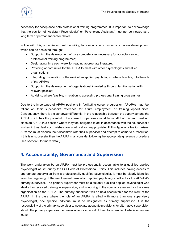

necessary for acceptance onto professional training programmes. It is important to acknowledge that the position of "Assistant Psychologist" or "Psychology Assistant" must not be viewed as a long term or permanent career choice.

In line with this, supervisors must be willing to offer advice on aspects of career development, which can be achieved through:

- Supporting the development of core competencies necessary for acceptance onto professional training programmes;
- Designating time each week for reading appropriate literature;
- Providing opportunities for the AP/PA to meet with other psychologists and allied organisations;
- Integrating observation of the work of an applied psychologist, where feasible, into the role of the AP/PA;
- Supporting the development of organisational knowledge through familiarisation with relevant policies;
- Advising, where feasible, in relation to accessing professional training programmes.

Due to the importance of AP/PA positions in facilitating career progression, APs/PAs may feel reliant on their supervisor's reference for future employment or training opportunities. Consequently, there is a clear power differential in the relationship between the supervisor and the AP/PA which has the potential to be abused. Supervisors must be mindful of this and must not place an AP/PA in a position where they feel obligated to act in accordance with their supervisor's wishes if they feel such wishes are unethical or inappropriate. If this type of situation arises, APs/PAs must discuss their discomfort with their supervisor and attempt to come to a resolution. If this is unsuccessful then the AP/PA must consider following the appropriate grievance procedure (see section 9 for more detail).

### <span id="page-4-0"></span>**4. Accountability, Governance and Supervision**

The work undertaken by an AP/PA must be professionally accountable to a qualified applied psychologist as set out by the PSI Code of Professional Ethics. This includes having access to appropriate supervision from a professionally qualified psychologist. It must be clearly identified from the beginning of the employment term which applied psychologist will act as the AP's/PA's primary supervisor. The primary supervisor must be a suitably qualified applied psychologist who ideally has received training in supervision, and is working in the specialty area and for the same organisation as the AP/PA. The primary supervisor will be held accountable for the work of the AP/PA. In the case where the role of an AP/PA is allied with more than one supervisory psychologist, one specific individual must be designated as primary supervisor. It is the responsibility of the primary supervisor to negotiate adequate provisions for alternative supervision should the primary supervisor be unavailable for a period of time; for example, if s/he is on annual leave.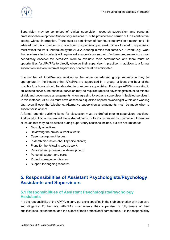

Supervision may be comprised of clinical supervision, research supervision, and personal/ professional development. Supervisory sessions must be provided and carried out in a confidential setting, without interruption. There must be a minimum of four hours supervision a month, and it is advised that this corresponds to one hour of supervision per week. Time allocated to supervision must reflect the work undertaken by the AP/PA, bearing in mind that some AP/PA work (e.g., work that involves client contact) will require extra supervisory support. Furthermore, supervisors must periodically observe the APs/PA's work to evaluate their performance and there must be opportunities for APs/PAs to directly observe their supervisor in practice. In addition to a formal supervision session, informal supervisory contact must be anticipated.

If a number of APs/PAs are working in the same department, group supervision may be appropriate. In the instance that APs/PAs are supervised in a group, at least one hour of the monthly four hours should be allocated to one-to-one supervision. If a single AP/PA is working in an isolated service, increased supervision may be required (applied psychologists must be mindful of risk and governance arrangements when agreeing to act as a supervisor in isolated services). In this instance, APs/PAs must have access to a qualified applied psychologist within one working day, even if over the telephone. Alternative supervision arrangements must be made when a supervisor is absent.

A formal agenda outlining items for discussion must be drafted prior to supervisory sessions. Additionally, it is recommended that a shared record of topics discussed be maintained. Examples of issues that may be discussed during supervisory sessions include, but are not limited to:

- Monthly objectives;
- Reviewing the previous week's work:
- Case management issues;
- In-depth discussion about specific clients;
- Plans for the following week's work:
- Personal and professional development;
- Personal support and care;
- Project management issues;
- Support for ongoing research.

### <span id="page-5-0"></span>**5. Responsibilities of Assistant Psychologists/Psychology Assistants and Supervisors**

#### <span id="page-5-1"></span>**5.1 Responsibilities of Assistant Psychologists/Psychology Assistants**

It is the responsibility of the AP/PA to carry out tasks specified in their job description with due care and diligence. Furthermore, APs/PAs must ensure their supervisor is fully aware of their qualifications, experiences, and the extent of their professional competence. It is the responsibility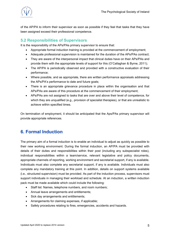

of the AP/PA to inform their supervisor as soon as possible if they feel that tasks that they have been assigned exceed their professional competence.

#### <span id="page-6-0"></span>**5.2 Responsibilities of Supervisors**

It is the responsibility of the APs/PAs primary supervisor to ensure that:

- Appropriate formal induction training is provided at the commencement of employment;
- Adequate professional supervision is maintained for the duration of the APs/PAs contract;
- They are aware of the interpersonal impact that clinical duties have on their APs/PAs and provide them with the appropriate levels of support for this (O'Callaghan & Byrne, 2011);
- The AP/PA is periodically observed and provided with a constructive evaluation of their performance;
- Where possible, and as appropriate, there are written performance appraisals addressing the APs/PA's performance to date and future goals;
- There is an appropriate grievance procedure in place within the organisation and that APs/PAs are aware of this procedure at the commencement of their employment;
- APs/PAs are not assigned to tasks that are over and above their level of competence, for which they are unqualified (e.g., provision of specialist therapies), or that are unrealistic to achieve within specified times.

On termination of employment, it should be anticipated that the Aps/PAs primary supervisor will provide appropriate references.

# <span id="page-6-1"></span>**6. Formal Induction**

The primary aim of a formal induction is to enable an individual to adjust as quickly as possible to their new working environment. During the formal induction, an AP/PA must be provided with details of their duties and responsibilities within their post (including any subspecialist roles), individual responsibilities within a team/service, relevant legislative and policy documents, appropriate channels of reporting, working environment and secretarial support, if any is available. Individuals must also complete any secretarial support, if any is available. Individuals must also complete any mandatory training at this point. In addition, details on support systems available (i.e., structured supervision) must be provided. As part of the induction process, supervisors must support individuals in managing their workload and schedule. At an induction, a written induction pack must be made available which could include the following:

- Staff list: Names, telephone numbers, and room numbers;
- Annual leave arrangements and entitlements;
- Sick day arrangements and entitlements;
- Arrangements for claiming expenses, if applicable;
- Safety procedures relating to fires, emergencies, accidents and hazards.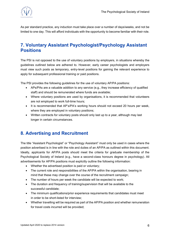

As per standard practice, any induction must take place over a number of days/weeks, and not be limited to one day. This will afford individuals with the opportunity to become familiar with their role.

# <span id="page-7-0"></span>**7. Voluntary Assistant Psychologist/Psychology Assistant Positions**

The PSI is not opposed to the use of voluntary positions by employers, in situations whereby the guidelines outlined below are adhered to. However, early career psychologists and employers must view such posts as temporary, entry-level positions for gaining the relevant experience to apply for subsequent professional training or paid positions.

The PSI provides the following guidelines for the use of voluntary AP/PA positions:

- APs/PAs are a valuable addition to any service (e.g., they increase efficiency of qualified staff) and should be remunerated where funds are available;
- Where voluntary positions are used by organisations, it is recommended that volunteers are not employed to work full-time hours;
- It is recommended that AP's/PA's working hours should not exceed 20 hours per week, where they are employed in voluntary positions;
- Written contracts for voluntary posts should only last up to a year, although may last longer in certain circumstances.

# <span id="page-7-1"></span>**8. Advertising and Recruitment**

The title "Assistant Psychologist" or "Psychology Assistant" must only be used in cases where the position advertised is in line with the role and duties of an AP/PA as outlined within this document. Ideally, applicants for AP/PA posts should meet the criteria for graduate membership of the Psychological Society of Ireland (e.g., have a second-class honours degree in psychology). All advertisements for AP/PA positions must explicitly outline the following information:

- Whether the advertised position is paid or voluntary;
- The current role and responsibilities of the AP/PA within the organisation, bearing in mind that these may change over the course of the recruitment campaign;
- The number of hours per week the candidate will be expected to work:
- The duration and frequency of training/supervision that will be available to the successful candidate;
- The minimum qualifications/prior experience requirements that candidates must meet in order to be short-listed for interview;
- Whether travelling will be required as part of the AP/PA position and whether remuneration for travel costs incurred will be provided;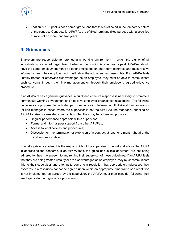

• That an AP/PA post is not a career grade, and that this is reflected in the temporary nature of the contract. Contracts for APs/PAs are of fixed-term and fixed purpose with a specified duration of no more than two years.

# <span id="page-8-0"></span>**9. Grievances**

Employers are responsible for promoting a working environment in which the dignity of all individuals is respected, regardless of whether the position is voluntary or paid. APs/PAs should have the same employment rights as other employees on short-term contracts and must receive information from their employer which will allow them to exercise those rights. If an AP/PA feels unfairly treated or otherwise disadvantaged as an employee, they must be able to communicate such concerns through their line management or through their employer's agreed grievance procedure.

If an AP/PA raises a genuine grievance, a quick and effective response is necessary to promote a harmonious working environment and a positive employee-organisation relationship. The following guidelines are proposed to facilitate open communication between an AP/PA and their supervisor (or line manager in cases where the supervisor is not the APs/PAs line manager), enabling an AP/PA to raise work-related complaints so that they may be addressed promptly:

- Regular performance appraisals with a supervisor;
- Formal and informal peer support from other APs/Pas;
- Access to local policies and procedures;
- Discussion on the termination or extension of a contract at least one month ahead of the initial termination date.

Should a grievance arise, it is the responsibility of the supervisor to assist and advise the AP/PA in addressing the concerns. If an AP/PA feels the guidelines in this document are not being adhered to, they may present to and remind their supervisor of these guidelines. If an AP/PA feels that they are being treated unfairly or are disadvantaged as an employee, they must communicate this to their supervisor and attempt to come to a resolution that appropriately addresses their concerns. If a resolution cannot be agreed upon within an appropriate time frame or a resolution is not implemented as agreed by the supervisor, the AP/PA must then consider following their employer's standard grievance procedure.